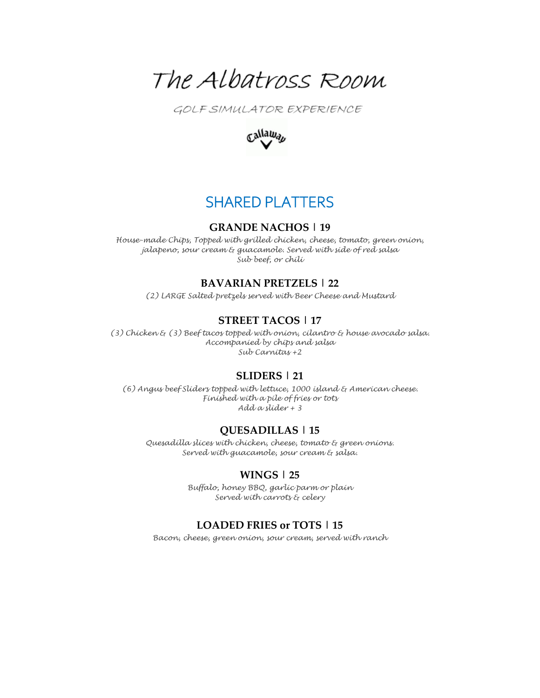

GOLF SIMULATOR EXPERIENCE



# SHARED PLATTERS

#### **GRANDE NACHOS | 19**

*House-made Chips, Topped with grilled chicken, cheese, tomato, green onion, jalapeno, sour cream & guacamole. Served with side of red salsa Sub beef, or chili*

#### **BAVARIAN PRETZELS | 22**

*(2) LARGE Salted pretzels served with Beer Cheese and Mustard*

## **STREET TACOS | 17**

*(3) Chicken & (3) Beef tacos topped with onion, cilantro & house avocado salsa. Accompanied by chips and salsa Sub Carnitas +2*

#### **SLIDERS | 21**

*(6) Angus beef Sliders topped with lettuce, 1000 island & American cheese. Finished with a pile of fries or tots Add a slider + 3*

#### **QUESADILLAS | 15**

*Quesadilla slices with chicken, cheese, tomato & green onions. Served with guacamole, sour cream & salsa.*

### **WINGS | 25**

*Buffalo, honey BBQ, garlic parm or plain Served with carrots & celery*

#### **LOADED FRIES or TOTS | 15**

*Bacon, cheese, green onion, sour cream, served with ranch*